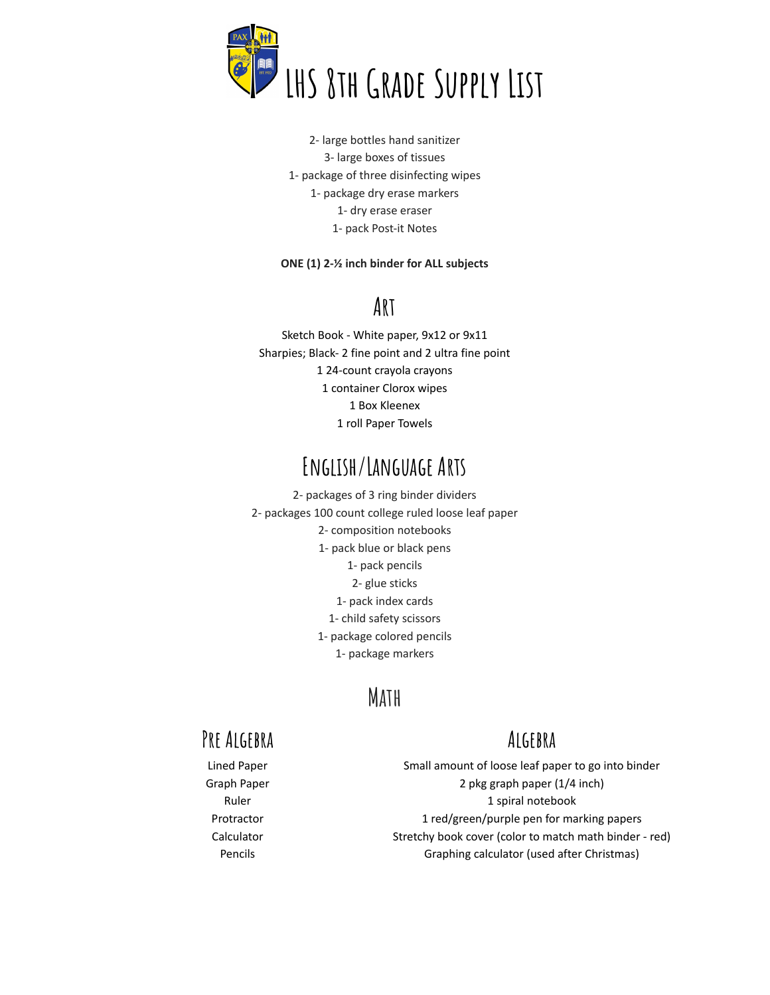

2- large bottles hand sanitizer 3- large boxes of tissues 1- package of three disinfecting wipes 1- package dry erase markers 1- dry erase eraser 1- pack Post-it Notes

#### **ONE (1) 2-½ inch binder for ALL subjects**

#### **Art**

Sketch Book - White paper, 9x12 or 9x11 Sharpies; Black- 2 fine point and 2 ultra fine point 24-count crayola crayons container Clorox wipes Box Kleenex roll Paper Towels

### **English/Language Arts**

2- packages of 3 ring binder dividers 2- packages 100 count college ruled loose leaf paper 2- composition notebooks 1- pack blue or black pens 1- pack pencils 2- glue sticks 1- pack index cards 1- child safety scissors 1- package colored pencils 1- package markers

### **Math**

#### **Pre Algebra**

#### **Algebra**

Lined Paper Graph Paper Ruler Protractor Calculator Pencils

Small amount of loose leaf paper to go into binder 2 pkg graph paper (1/4 inch) 1 spiral notebook 1 red/green/purple pen for marking papers Stretchy book cover (color to match math binder - red) Graphing calculator (used after Christmas)